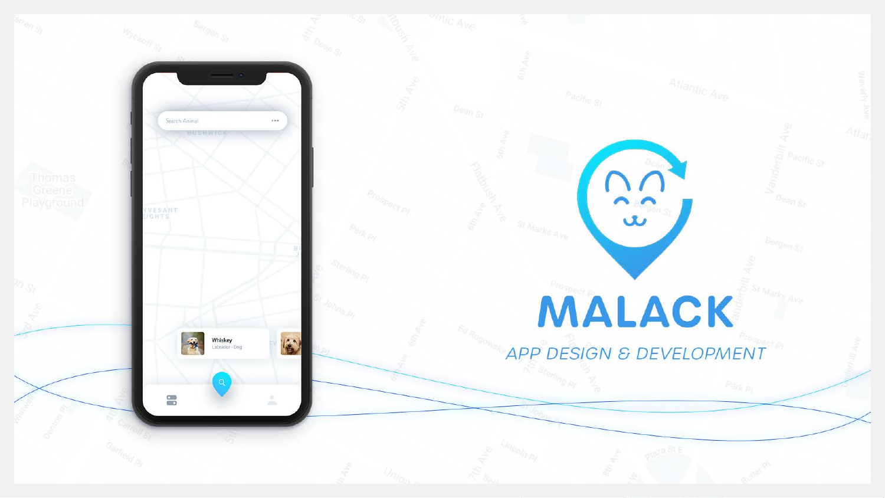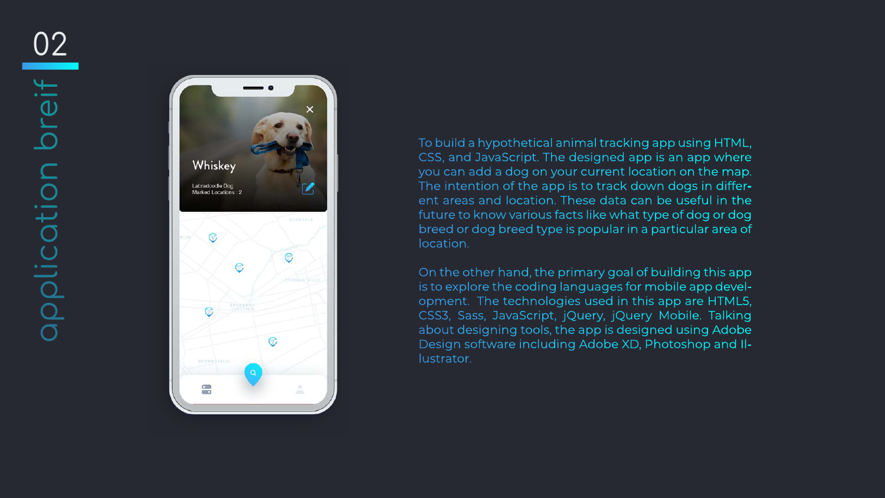

To build a hypothetical animal tracking app using HTML, CSS, and JavaScript. The designed app is an app where you can add a dog on your current location on the map. The intention of the app is to track down dogs in differ ent areas and location. These data can be useful in the future to know various facts like what type of dog or dog breed or dog breed type is popular in a particular area of location.

On the other hand, the primary goal of building this app is to explore the coding languages for mobile app development. The technologies used in this app are HTML5, CSS3, Sass, JavaScript, jQuery, jQuery Mobile. Talking about designing tools, the app is designed using Adobe Design software including Adobe XD, Photoshop and Illustrator.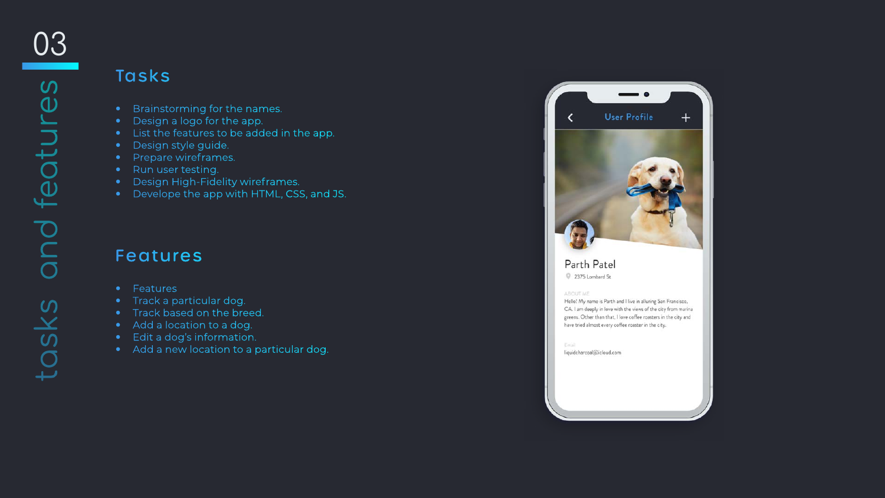# Tasks

- Brainstorming for the names.
- Design a logo for the app.
- List the features to be added in the app.
- Design style guide.
- Prepare wireframes.
- Run user testing.
- Design High-Fidelity wireframes.
- Develope the app with HTML, CSS, and JS.

### Features

- Features
- **•** Track a particular dog.
- **•** Track based on the breed.
- Add a location to a dog.
- Edit a dog's information.
- Add a new location to a particular dog.



### Parth Patel

2375 Lombard St

#### ABOUT ME

Hello! My name is Parth and I live in alluring San Francisco, CA. I am deeply in love with the views of the city from marina greens. Other than that, I love coffee roasters in the city and have tried almost every coffee roaster in the city.

Email

liquidcharcoal@icloud.com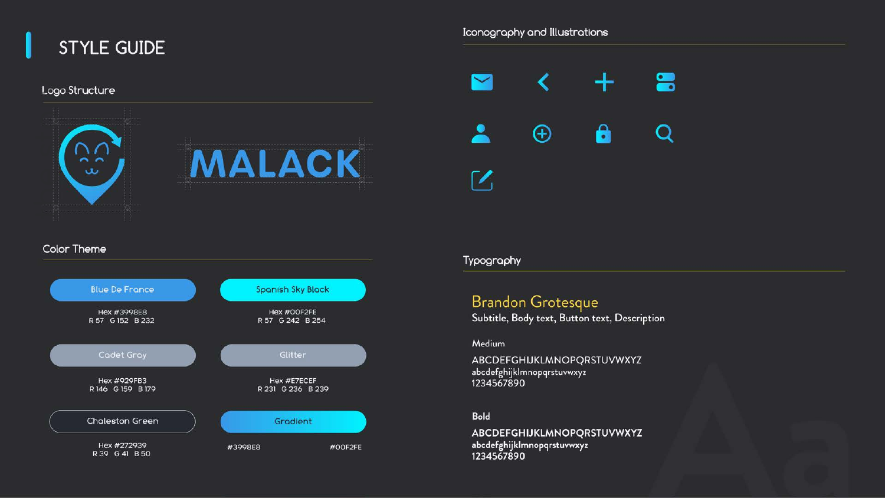

#### Logo Structure



#### Iconography and Illustrations



#### Typography

## Brandon Grotesque

Subtitle, Body text, Button text, Description

Medium

ABCDEFGHIJKLMNOPQRSTUVWXYZ abcdefghijk|mnopqrstuvwxyz<br>1234567890

Bold

ABCDEFGHIJKLMNOPQRSTUVWXYZ abcdefghijklmnopqrstuvwxyz<br>1234567890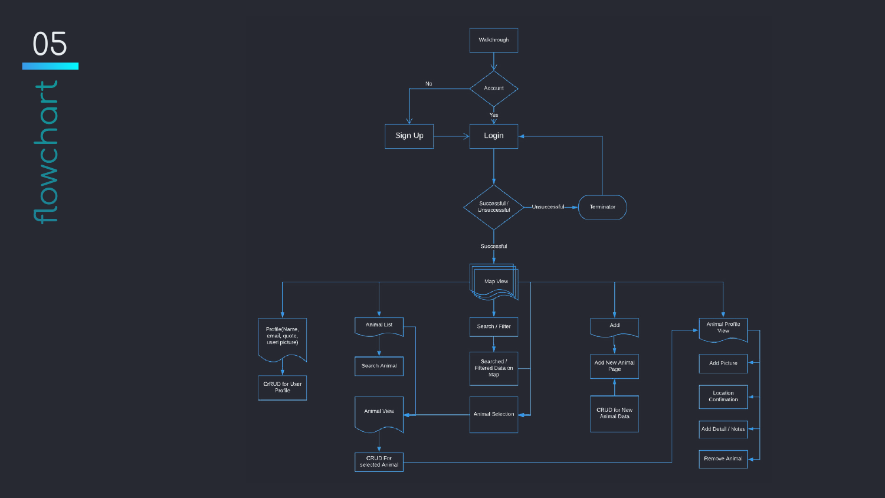05  $\begin{array}{c} \uparrow \\ \downarrow \end{array}$ flowchor



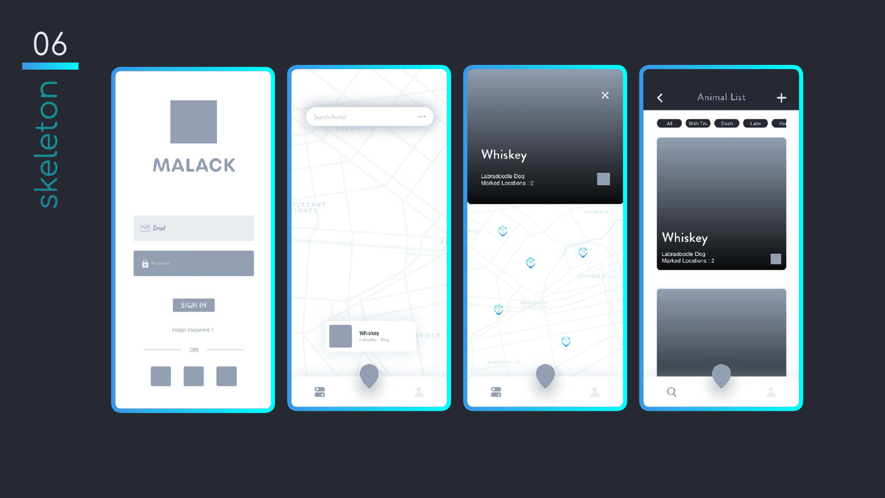06<u> Tanzania (</u> Skeleton skeleton

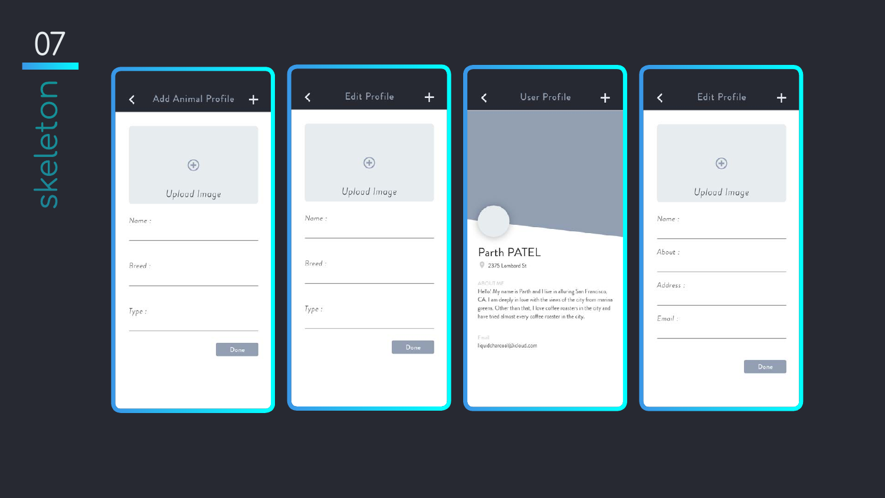07 skeleton

| Add Animal Profile<br>$\pm$ | <b>Edit Profile</b> |
|-----------------------------|---------------------|
|                             |                     |
| $\oplus$                    | $\bigoplus$         |
| Upload Image                | Upload Image        |
| Name:                       | Name:               |
| Breed:                      | Breed:              |
| Type:                       | Type:               |
| Done                        | Do                  |
|                             |                     |
|                             |                     |

### User Profile

#### $+$

### Parth PATEL

2375 Lombard St

#### ABOUT ME

Hello! My name is Parth and I live in alluring San Francisco, CA. I am deeply in love with the views of the city from marina greens. Other than that, I love coffee roasters in the city and have tried almost every coffee roaster in the city.

Email

liquidcharcoal(@icloud.com

|          | <b>Edit Profile</b> |      |
|----------|---------------------|------|
|          |                     |      |
|          |                     |      |
|          |                     |      |
|          | $^{+}$              |      |
|          |                     |      |
|          | Upload Image        |      |
| Name:    |                     |      |
|          |                     |      |
| About:   |                     |      |
| Address: |                     |      |
|          |                     |      |
| Email:   |                     |      |
|          |                     |      |
|          |                     |      |
|          |                     | Done |
|          |                     |      |

 $\overline{\phantom{a}}$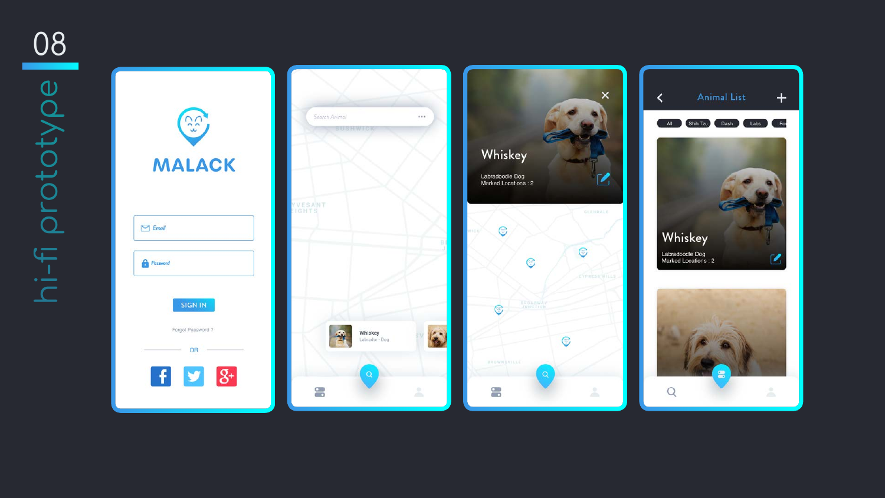08 hi-fi prototype



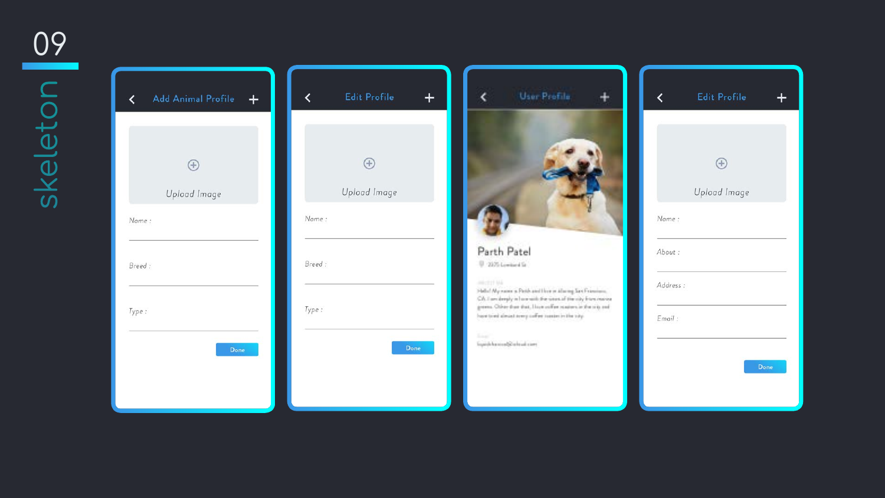Skeleton P

| <b>Add Animal Profile</b><br>$\boldsymbol{+}$ | <b>Edit Profile</b>    |
|-----------------------------------------------|------------------------|
| ⊕<br>Upload Image                             | $^{+}$<br>Upload Image |
| Nome:                                         | Nome:                  |
| Breed:                                        | Breed:                 |
| Type:                                         | Type:                  |
| Done                                          |                        |

|             | User Profile                                                                                                                   |          |
|-------------|--------------------------------------------------------------------------------------------------------------------------------|----------|
|             |                                                                                                                                |          |
|             |                                                                                                                                | Nome:    |
| Parth Patel | 2175 Lowinson Se                                                                                                               | About:   |
| 神中共神        | Hello! My name is Paris and their in also my Sex Framismo,<br>City, I am deeply in I are with the week of the city from moving | Address: |
|             | greens. Other than that, I have collect reasons in the ring and<br>have to educationed avery coffee to ease in the toty.       | Email:   |
| <b>Line</b> | i qarib kazırada ve kad sam                                                                                                    |          |

|           | <b>Edit Profile</b> |      |
|-----------|---------------------|------|
|           |                     |      |
|           | $\pm$               |      |
|           | Upload Image        |      |
| Name:     |                     |      |
| About:    |                     |      |
| Address:  |                     |      |
| $E$ mail: |                     |      |
|           |                     | Done |

 $\pm$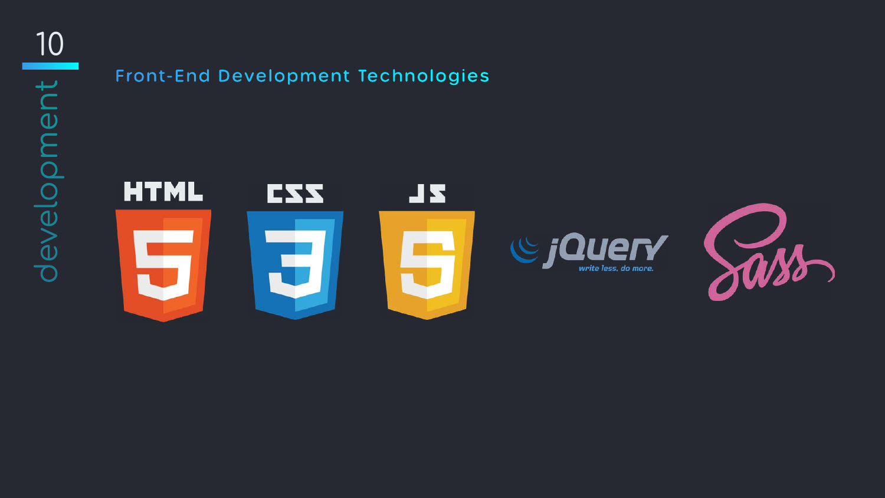10trevelopment development

# Front-End Development Technologies







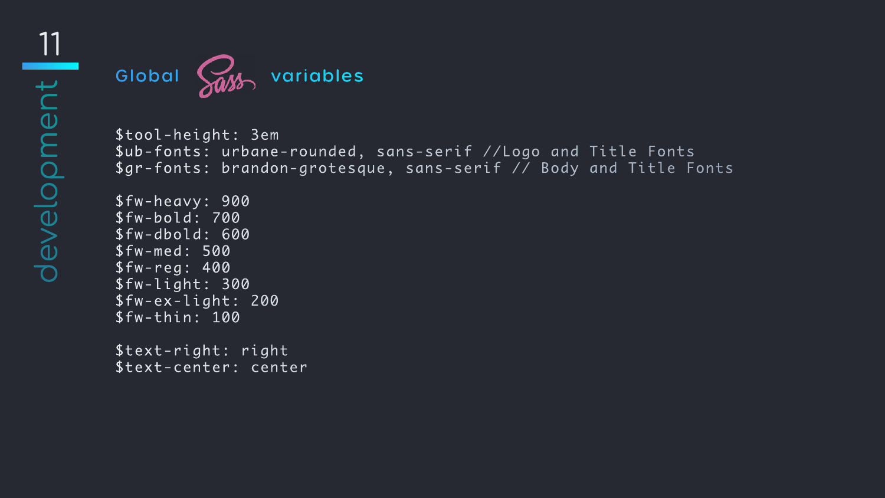

\$tool-height: 3em \$ub-fonts: urbane-rounded, sans-serif //Logo and Title Fonts \$gr-fonts: brandon-grotesque, sans-serif // Body and Title Fonts

\$fw-heavy: 900 \$fw-bold: 700 \$fw-dbold: 600 \$fw-med: 500 \$fw-reg: 400 \$fw-light: 300 \$fw-ex-light: 200 \$fw-thin: 100

\$text-right: right \$text-center: center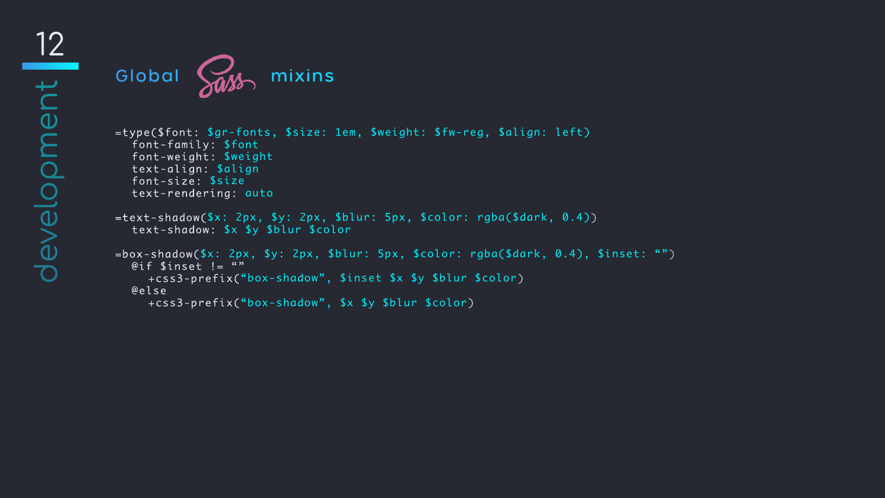

=type(\$font: \$gr-fonts, \$size: 1em, \$weight: \$fw-reg, \$align: left) font-family: \$font font-weight: \$weight text-align: \$align font-size: \$size text-rendering: auto

=text-shadow(\$x: 2px, \$y: 2px, \$blur: 5px, \$color: rgba(\$dark, 0.4)) text-shadow: \$x \$y \$blur \$color

=box-shadow(\$x: 2px, \$y: 2px, \$blur: 5px, \$color: rgba(\$dark, 0.4), \$inset: "")  $@if$  \$inset != "" +css3-prefix("box-shadow", \$inset \$x \$y \$blur \$color) @else +css3-prefix("box-shadow", \$x \$y \$blur \$color)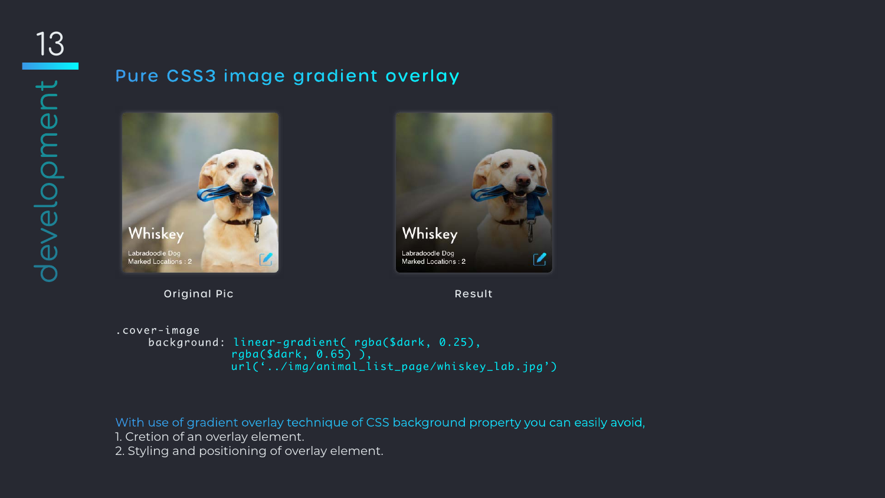# Pure CSS3 image gradient overlay





#### Original Pic **Result**

.cover-image

 background: linear-gradient( rgba(\$dark, 0.25), rgba(\$dark, 0.65) ), url('../img/animal\_list\_page/whiskey\_lab.jpg')

### With use of gradient overlay technique of CSS background property you can easily avoid,

1. Cretion of an overlay element.

2. Styling and positioning of overlay element.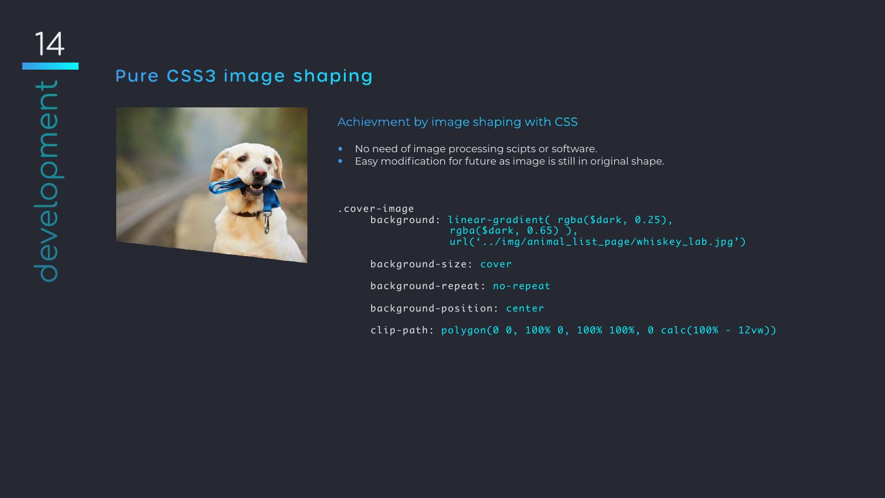# Pure CSS3 image shaping



.cover-image

```
 background: linear-gradient( rgba($dark, 0.25), 
             rgba($dark, 0.65) ), 
             url('../img/animal_list_page/whiskey_lab.jpg')
```
background-size: cover

background-repeat: no-repeat

background-position: center

• No need of image processing scipts or software. • Easy modification for future as image is still in original shape.

clip-path: polygon(0 0, 100% 0, 100% 100%, 0 calc(100% - 12vw))

### Achievment by image shaping with CSS

- 
-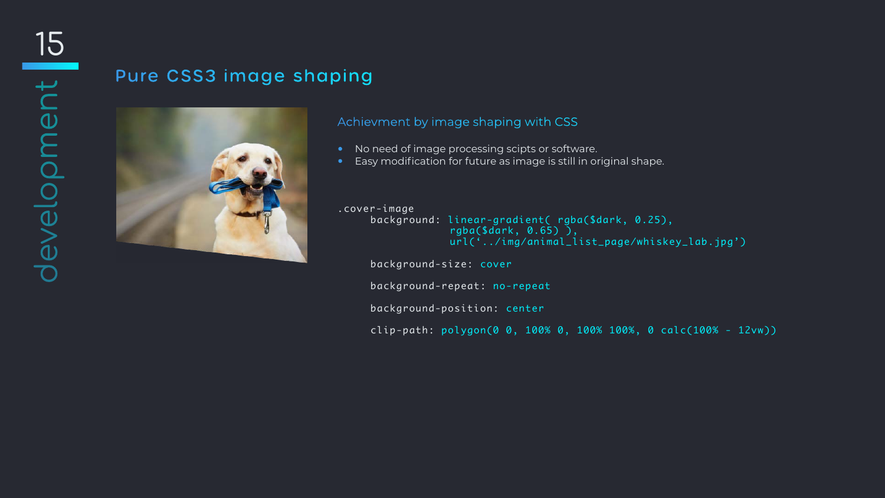# Pure CSS3 image shaping



- 
- 
- .cover-image
	-
	-
	-
	-

```
 background: linear-gradient( rgba($dark, 0.25), 
             rgba($dark, 0.65) ), 
             url('../img/animal_list_page/whiskey_lab.jpg')
```
background-size: cover

background-repeat: no-repeat

background-position: center

clip-path: polygon(0 0, 100% 0, 100% 100%, 0 calc(100% - 12vw))

#### Achievment by image shaping with CSS

• No need of image processing scipts or software. • Easy modification for future as image is still in original shape.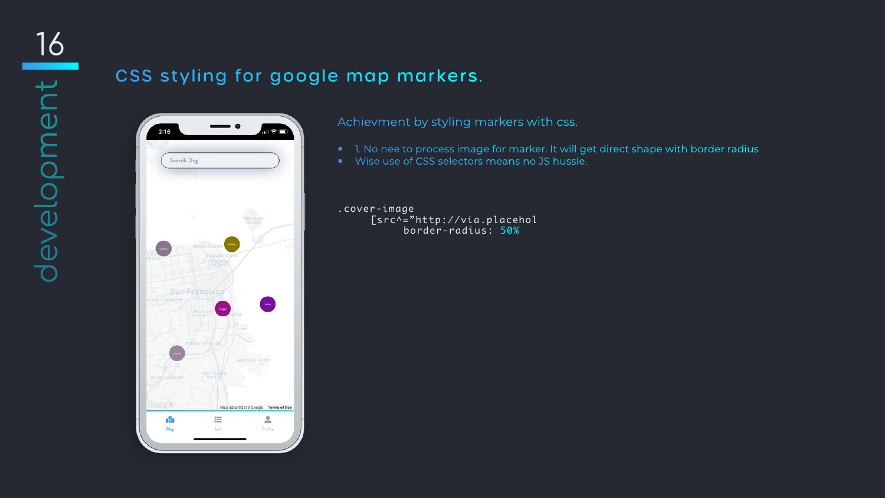# CSS styling for google map markers.



- 
- 

.cover-image [src^="http://via.placehol border-radius: 50%

Achievment by styling markers with css.

• 1. No nee to process image for marker. It will get direct shape with border radius • Wise use of CSS selectors means no JS hussle.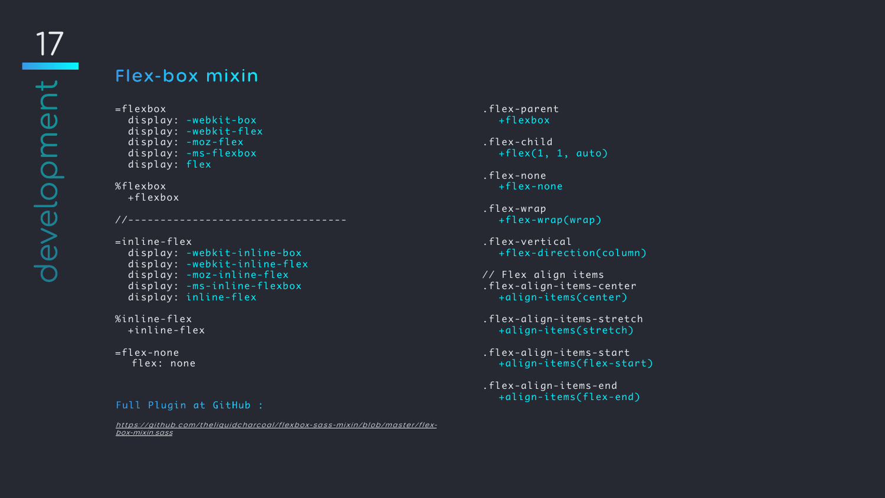## Flex-box mixin

```
=flexbox
   display: -webkit-box
   display: -webkit-flex
   display: -moz-flex
   display: -ms-flexbox
   display: flex
```
%flexbox +flexbox

```
=inline-flex
   display: -webkit-inline-box
   display: -webkit-inline-flex
   display: -moz-inline-flex
   display: -ms-inline-flexbox
   display: inline-flex
```
//----------------------------------

- .flex-child +flex(1, 1, auto)
- .flex-none +flex-none
- .flex-wrap +flex-wrap(wrap)
- .flex-vertical +flex-direction(column)
- // Flex align items .flex-align-items-center +align-items(center)
- .flex-align-items-stretch +align-items(stretch)
- .flex-align-items-start +align-items(flex-start)
- .flex-align-items-end<br>| +align-items(flex-end)

```
%inline-flex
   +inline-flex
```

```
=flex-none
  flex: none
```
#### Full Plugin at GitHub :

#### .flex-parent +flexbox

[https://github.com/theliquidcharcoal/flexbox-sass-mixin/blob/master/flex](https://github.com/theliquidcharcoal/flexbox-sass-mixin/blob/master/flexbox-mixin.sass)[box-mixin.sass](https://github.com/theliquidcharcoal/flexbox-sass-mixin/blob/master/flexbox-mixin.sass)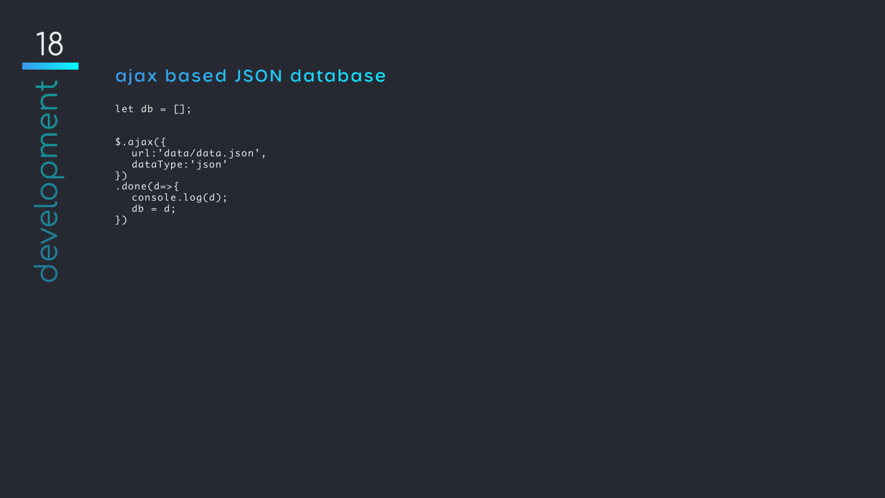## ajax based JSON database

```
\left\vert \begin{array}{cc} \texttt{let} & \texttt{db} & = & \boxed{\color{red}\end{array} \right\vert;$.ajax({
      url:'data/data.json',
      dataType:'json'
})
.done(d=\gt\{console.log(d);
    db = d;})
```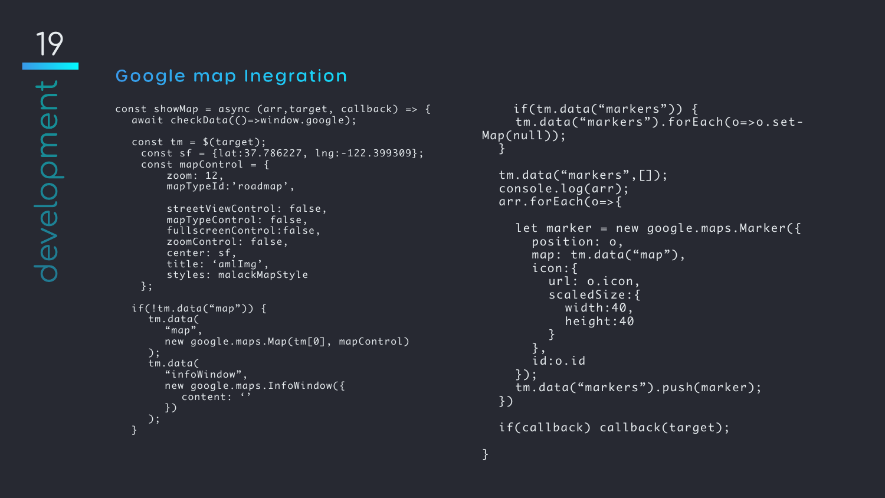## Google map Inegration

```
const showMap = async (arr,target, callback) => {
  await checkData(()=>window.google);
```

```
const tm = $(target);
  const sf = {lat:37.786227, lng:-122.399309};
 const mapControl = \{ zoom: 12, 
      mapTypeId:'roadmap', 
     streetViewControl: false,
      mapTypeControl: false,
      fullscreenControl:false,
      zoomControl: false,
      center: sf,
      title: 'amlImg',
      styles: malackMapStyle
  };
if(!tm.data("map")) {
   tm.data(
     "map",
      new google.maps.Map(tm[0], mapControl)
   );
   tm.data(
      "infoWindow",
      new google.maps.InfoWindow({
        content: ''
      })
   );
}<br>}
```

```
 if(tm.data("markers")) {
     tm.data("markers").forEach(o=>o.set-
Map(null));
  }<br>}
  tm.data("markers",[]);
  console.log(arr);
  arr.forEach(o=>{
     let marker = new google.maps.Marker({
       position: o,
      map: tm.data("map"),
       icon:{
          url: o.icon,
          scaledSize:{
            width:40,
            height:40
 }
        },
        id:o.id
     });
     tm.data("markers").push(marker);
  })
  if(callback) callback(target);
```

```
}<br>}
```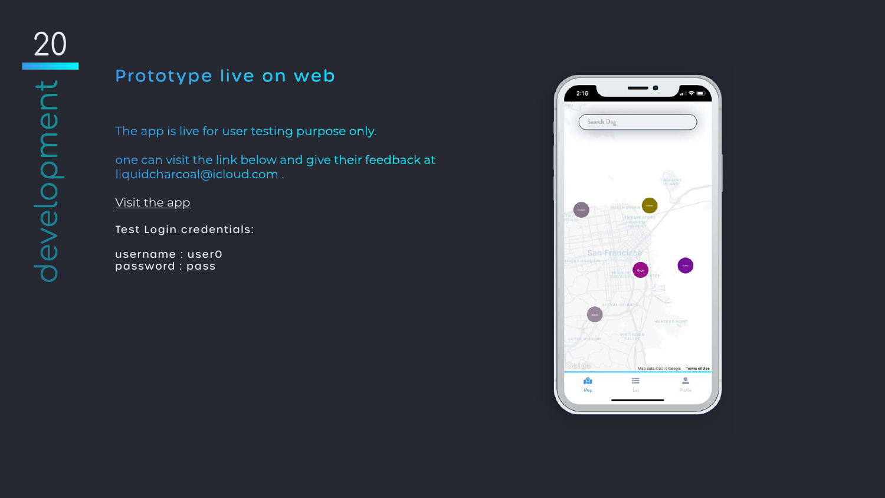# Prototype live on web

The app is live for user testing purpose only.

one can visit the link below and give their feedback at liquidcharcoal@icloud.com .

[Visit the app](http://liquidcharcoal.com/aau/wnm617/m13/malack/)

Test Login credentials:

username : user0 password : pass